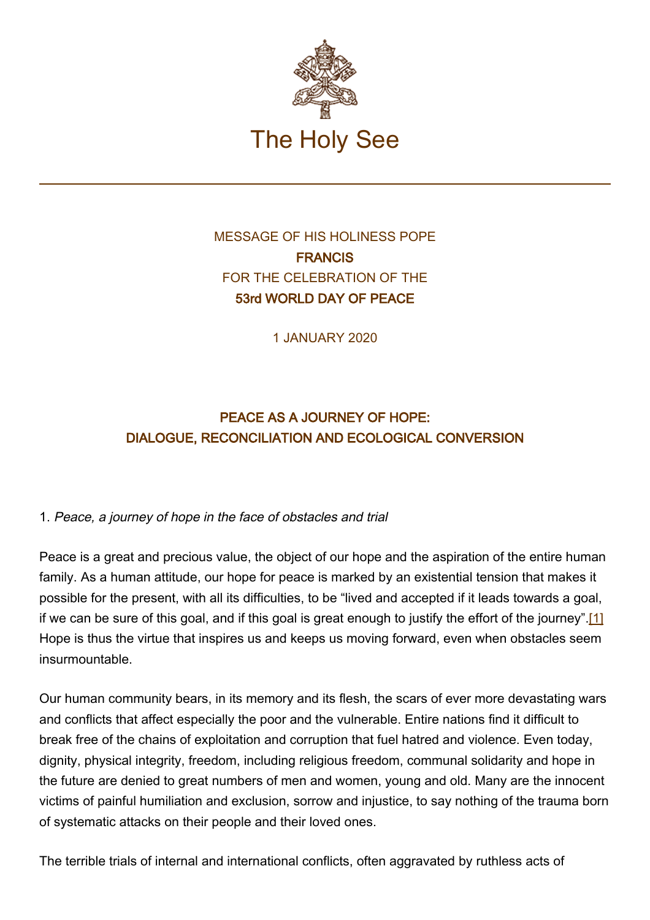

# MESSAGE OF HIS HOLINESS POPE **FRANCIS** FOR THE CELEBRATION OF THE 53rd WORLD DAY OF PEACE

1 JANUARY 2020

# PEACE AS A JOURNEY OF HOPE: DIALOGUE, RECONCILIATION AND ECOLOGICAL CONVERSION

## 1. Peace, a journey of hope in the face of obstacles and trial

Peace is a great and precious value, the object of our hope and the aspiration of the entire human family. As a human attitude, our hope for peace is marked by an existential tension that makes it possible for the present, with all its difficulties, to be "lived and accepted if it leads towards a goal, if we can be sure of this goal, and if this goal is great enough to justify the effort of the journey".[1] Hope is thus the virtue that inspires us and keeps us moving forward, even when obstacles seem insurmountable.

Our human community bears, in its memory and its flesh, the scars of ever more devastating wars and conflicts that affect especially the poor and the vulnerable. Entire nations find it difficult to break free of the chains of exploitation and corruption that fuel hatred and violence. Even today, dignity, physical integrity, freedom, including religious freedom, communal solidarity and hope in the future are denied to great numbers of men and women, young and old. Many are the innocent victims of painful humiliation and exclusion, sorrow and injustice, to say nothing of the trauma born of systematic attacks on their people and their loved ones.

The terrible trials of internal and international conflicts, often aggravated by ruthless acts of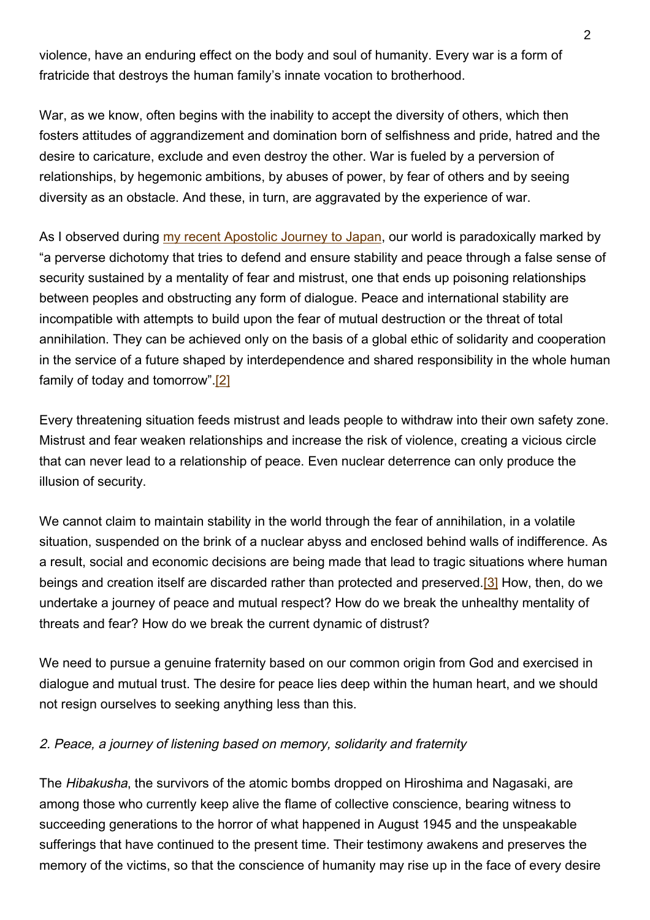violence, have an enduring effect on the body and soul of humanity. Every war is a form of fratricide that destroys the human family's innate vocation to brotherhood.

War, as we know, often begins with the inability to accept the diversity of others, which then fosters attitudes of aggrandizement and domination born of selfishness and pride, hatred and the desire to caricature, exclude and even destroy the other. War is fueled by a perversion of relationships, by hegemonic ambitions, by abuses of power, by fear of others and by seeing diversity as an obstacle. And these, in turn, are aggravated by the experience of war.

As I observed during [my recent Apostolic Journey to Japan](http://w2.vatican.va/content/francesco/en/travels/2019/outside/documents/papa-francesco-thailandia-giappone-2019.html), our world is paradoxically marked by "a perverse dichotomy that tries to defend and ensure stability and peace through a false sense of security sustained by a mentality of fear and mistrust, one that ends up poisoning relationships between peoples and obstructing any form of dialogue. Peace and international stability are incompatible with attempts to build upon the fear of mutual destruction or the threat of total annihilation. They can be achieved only on the basis of a global ethic of solidarity and cooperation in the service of a future shaped by interdependence and shared responsibility in the whole human family of today and tomorrow".[2]

Every threatening situation feeds mistrust and leads people to withdraw into their own safety zone. Mistrust and fear weaken relationships and increase the risk of violence, creating a vicious circle that can never lead to a relationship of peace. Even nuclear deterrence can only produce the illusion of security.

We cannot claim to maintain stability in the world through the fear of annihilation, in a volatile situation, suspended on the brink of a nuclear abyss and enclosed behind walls of indifference. As a result, social and economic decisions are being made that lead to tragic situations where human beings and creation itself are discarded rather than protected and preserved.[3] How, then, do we undertake a journey of peace and mutual respect? How do we break the unhealthy mentality of threats and fear? How do we break the current dynamic of distrust?

We need to pursue a genuine fraternity based on our common origin from God and exercised in dialogue and mutual trust. The desire for peace lies deep within the human heart, and we should not resign ourselves to seeking anything less than this.

### 2. Peace, a journey of listening based on memory, solidarity and fraternity

The Hibakusha, the survivors of the atomic bombs dropped on Hiroshima and Nagasaki, are among those who currently keep alive the flame of collective conscience, bearing witness to succeeding generations to the horror of what happened in August 1945 and the unspeakable sufferings that have continued to the present time. Their testimony awakens and preserves the memory of the victims, so that the conscience of humanity may rise up in the face of every desire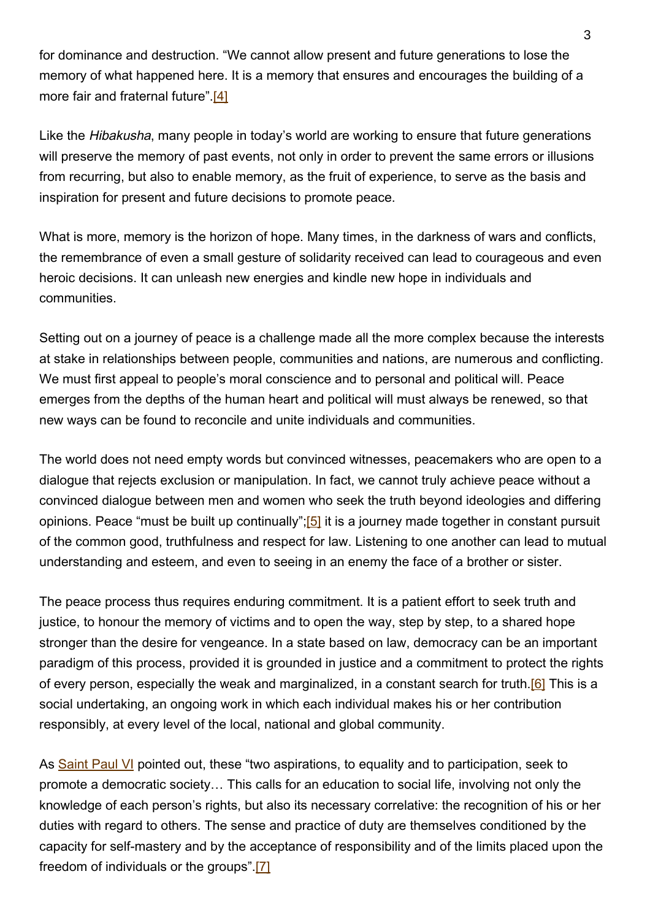for dominance and destruction. "We cannot allow present and future generations to lose the memory of what happened here. It is a memory that ensures and encourages the building of a more fair and fraternal future".[4]

Like the Hibakusha, many people in today's world are working to ensure that future generations will preserve the memory of past events, not only in order to prevent the same errors or illusions from recurring, but also to enable memory, as the fruit of experience, to serve as the basis and inspiration for present and future decisions to promote peace.

What is more, memory is the horizon of hope. Many times, in the darkness of wars and conflicts, the remembrance of even a small gesture of solidarity received can lead to courageous and even heroic decisions. It can unleash new energies and kindle new hope in individuals and communities.

Setting out on a journey of peace is a challenge made all the more complex because the interests at stake in relationships between people, communities and nations, are numerous and conflicting. We must first appeal to people's moral conscience and to personal and political will. Peace emerges from the depths of the human heart and political will must always be renewed, so that new ways can be found to reconcile and unite individuals and communities.

The world does not need empty words but convinced witnesses, peacemakers who are open to a dialogue that rejects exclusion or manipulation. In fact, we cannot truly achieve peace without a convinced dialogue between men and women who seek the truth beyond ideologies and differing opinions. Peace "must be built up continually"; [5] it is a journey made together in constant pursuit of the common good, truthfulness and respect for law. Listening to one another can lead to mutual understanding and esteem, and even to seeing in an enemy the face of a brother or sister.

The peace process thus requires enduring commitment. It is a patient effort to seek truth and justice, to honour the memory of victims and to open the way, step by step, to a shared hope stronger than the desire for vengeance. In a state based on law, democracy can be an important paradigm of this process, provided it is grounded in justice and a commitment to protect the rights of every person, especially the weak and marginalized, in a constant search for truth.[6] This is a social undertaking, an ongoing work in which each individual makes his or her contribution responsibly, at every level of the local, national and global community.

As [Saint Paul VI](http://www.vatican.va/content/paul-vi/en.html) pointed out, these "two aspirations, to equality and to participation, seek to promote a democratic society… This calls for an education to social life, involving not only the knowledge of each person's rights, but also its necessary correlative: the recognition of his or her duties with regard to others. The sense and practice of duty are themselves conditioned by the capacity for self-mastery and by the acceptance of responsibility and of the limits placed upon the freedom of individuals or the groups".[7]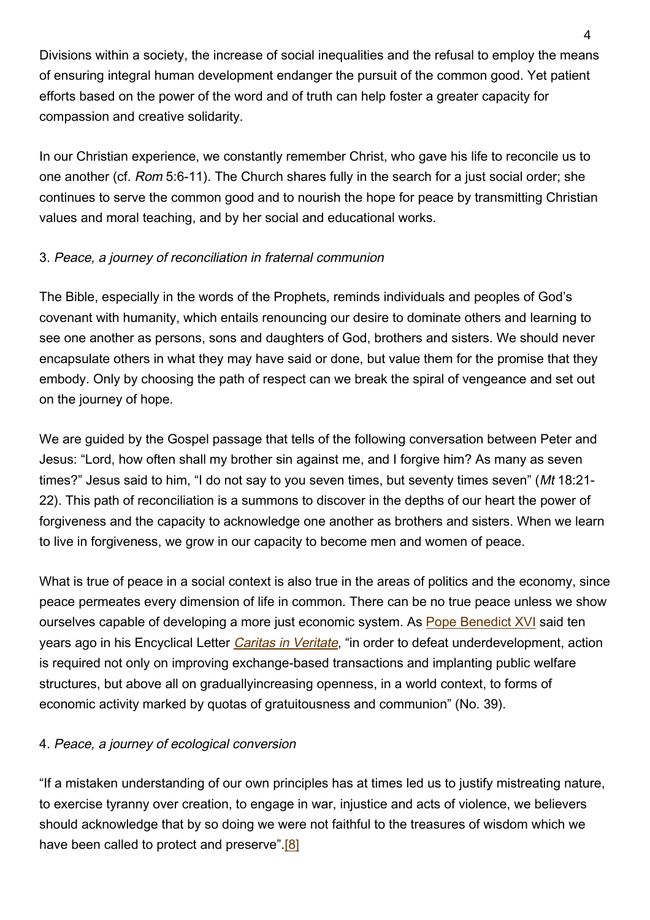Divisions within a society, the increase of social inequalities and the refusal to employ the means of ensuring integral human development endanger the pursuit of the common good. Yet patient efforts based on the power of the word and of truth can help foster a greater capacity for compassion and creative solidarity.

In our Christian experience, we constantly remember Christ, who gave his life to reconcile us to one another (cf. Rom 5:6-11). The Church shares fully in the search for a just social order; she continues to serve the common good and to nourish the hope for peace by transmitting Christian values and moral teaching, and by her social and educational works.

## 3. Peace, a journey of reconciliation in fraternal communion

The Bible, especially in the words of the Prophets, reminds individuals and peoples of God's covenant with humanity, which entails renouncing our desire to dominate others and learning to see one another as persons, sons and daughters of God, brothers and sisters. We should never encapsulate others in what they may have said or done, but value them for the promise that they embody. Only by choosing the path of respect can we break the spiral of vengeance and set out on the journey of hope.

We are guided by the Gospel passage that tells of the following conversation between Peter and Jesus: "Lord, how often shall my brother sin against me, and I forgive him? As many as seven times?" Jesus said to him, "I do not say to you seven times, but seventy times seven" (Mt 18:21- 22). This path of reconciliation is a summons to discover in the depths of our heart the power of forgiveness and the capacity to acknowledge one another as brothers and sisters. When we learn to live in forgiveness, we grow in our capacity to become men and women of peace.

What is true of peace in a social context is also true in the areas of politics and the economy, since peace permeates every dimension of life in common. There can be no true peace unless we show ourselves capable of developing a more just economic system. As [Pope Benedict XVI](http://www.vatican.va/content/benedict-xvi/en.html) said ten years ago in his Encyclical Letter *[Caritas in Veritate](http://www.vatican.va/content/benedict-xvi/en/encyclicals/documents/hf_ben-xvi_enc_20090629_caritas-in-veritate.html)*, "in order to defeat underdevelopment, action is required not only on improving exchange-based transactions and implanting public welfare structures, but above all on graduallyincreasing openness, in a world context, to forms of economic activity marked by quotas of gratuitousness and communion" (No. 39).

### 4. Peace, a journey of ecological conversion

"If a mistaken understanding of our own principles has at times led us to justify mistreating nature, to exercise tyranny over creation, to engage in war, injustice and acts of violence, we believers should acknowledge that by so doing we were not faithful to the treasures of wisdom which we have been called to protect and preserve".<sup>[8]</sup>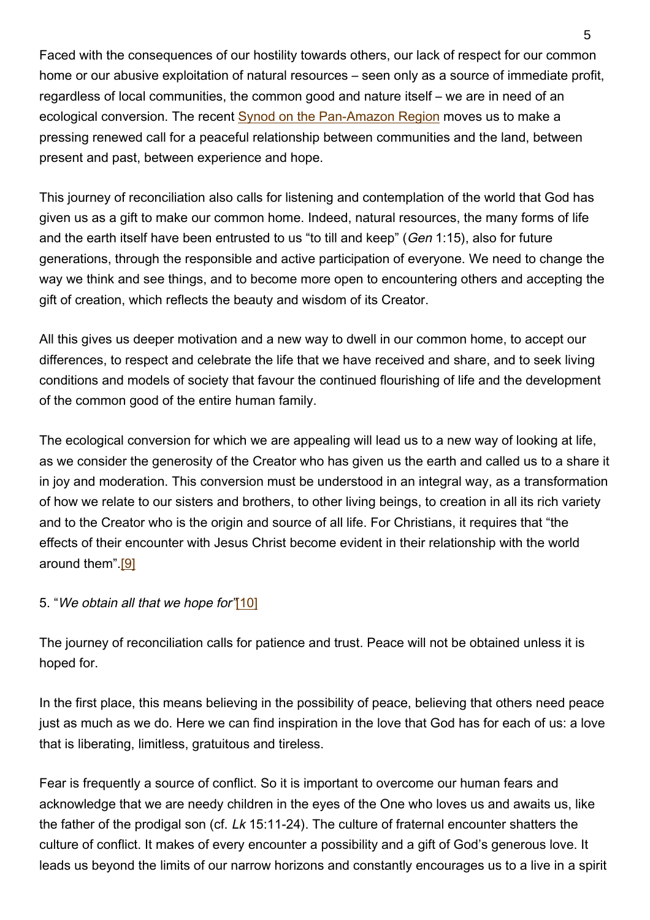Faced with the consequences of our hostility towards others, our lack of respect for our common home or our abusive exploitation of natural resources – seen only as a source of immediate profit, regardless of local communities, the common good and nature itself – we are in need of an ecological conversion. The recent [Synod on the Pan-Amazon Region](http://www.sinodoamazonico.va/content/sinodoamazonico/en.html) moves us to make a pressing renewed call for a peaceful relationship between communities and the land, between present and past, between experience and hope.

This journey of reconciliation also calls for listening and contemplation of the world that God has given us as a gift to make our common home. Indeed, natural resources, the many forms of life and the earth itself have been entrusted to us "to till and keep" (Gen 1:15), also for future generations, through the responsible and active participation of everyone. We need to change the way we think and see things, and to become more open to encountering others and accepting the gift of creation, which reflects the beauty and wisdom of its Creator.

All this gives us deeper motivation and a new way to dwell in our common home, to accept our differences, to respect and celebrate the life that we have received and share, and to seek living conditions and models of society that favour the continued flourishing of life and the development of the common good of the entire human family.

The ecological conversion for which we are appealing will lead us to a new way of looking at life, as we consider the generosity of the Creator who has given us the earth and called us to a share it in joy and moderation. This conversion must be understood in an integral way, as a transformation of how we relate to our sisters and brothers, to other living beings, to creation in all its rich variety and to the Creator who is the origin and source of all life. For Christians, it requires that "the effects of their encounter with Jesus Christ become evident in their relationship with the world around them".[9]

#### 5. "We obtain all that we hope for"[10]

The journey of reconciliation calls for patience and trust. Peace will not be obtained unless it is hoped for.

In the first place, this means believing in the possibility of peace, believing that others need peace just as much as we do. Here we can find inspiration in the love that God has for each of us: a love that is liberating, limitless, gratuitous and tireless.

Fear is frequently a source of conflict. So it is important to overcome our human fears and acknowledge that we are needy children in the eyes of the One who loves us and awaits us, like the father of the prodigal son (cf. Lk 15:11-24). The culture of fraternal encounter shatters the culture of conflict. It makes of every encounter a possibility and a gift of God's generous love. It leads us beyond the limits of our narrow horizons and constantly encourages us to a live in a spirit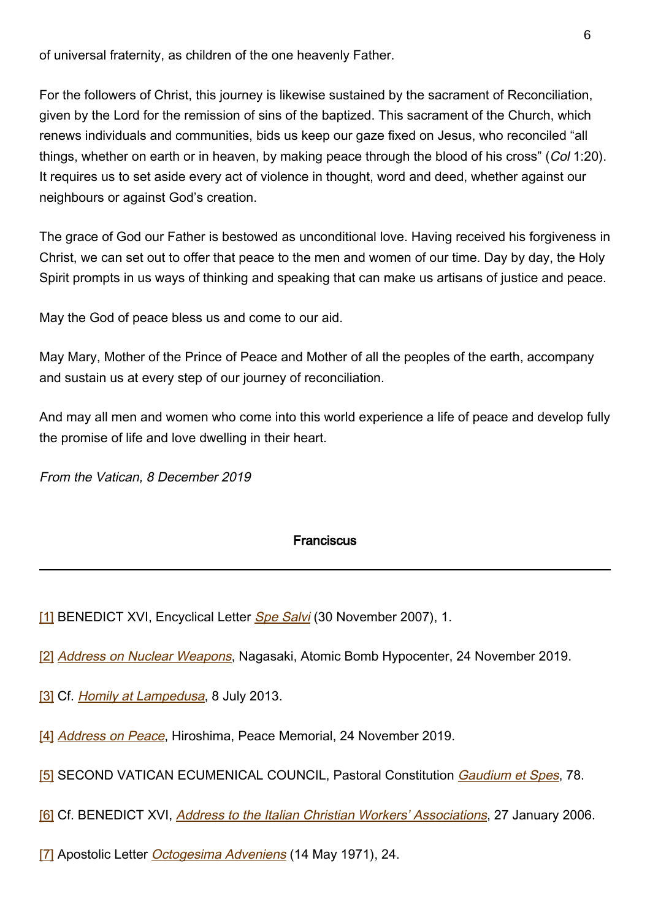of universal fraternity, as children of the one heavenly Father.

For the followers of Christ, this journey is likewise sustained by the sacrament of Reconciliation, given by the Lord for the remission of sins of the baptized. This sacrament of the Church, which renews individuals and communities, bids us keep our gaze fixed on Jesus, who reconciled "all things, whether on earth or in heaven, by making peace through the blood of his cross" (Col 1:20). It requires us to set aside every act of violence in thought, word and deed, whether against our neighbours or against God's creation.

The grace of God our Father is bestowed as unconditional love. Having received his forgiveness in Christ, we can set out to offer that peace to the men and women of our time. Day by day, the Holy Spirit prompts in us ways of thinking and speaking that can make us artisans of justice and peace.

May the God of peace bless us and come to our aid.

May Mary, Mother of the Prince of Peace and Mother of all the peoples of the earth, accompany and sustain us at every step of our journey of reconciliation.

And may all men and women who come into this world experience a life of peace and develop fully the promise of life and love dwelling in their heart.

From the Vatican, 8 December 2019

#### **Franciscus**

[1] BENEDICT XVI, Encyclical Letter [Spe Salvi](http://www.vatican.va/content/benedict-xvi/en/encyclicals/documents/hf_ben-xvi_enc_20071130_spe-salvi.html) (30 November 2007), 1.

- [2] [Address on Nuclear Weapons](http://www.vatican.va/content/francesco/en/speeches/2019/november/documents/papa-francesco_20191124_messaggio-arminucleari-nagasaki.html), Nagasaki, Atomic Bomb Hypocenter, 24 November 2019.
- [3] Cf. Homil[y](http://www.vatican.va/content/francesco/en/homilies/2013/documents/papa-francesco_20130708_omelia-lampedusa.html) at Lampedusa, 8 July 2013.
- [4] [Address on Peace](http://www.vatican.va/content/francesco/en/speeches/2019/november/documents/papa-francesco_20191124_messaggio-incontropace-hiroshima.html), Hiroshima, Peace Memorial, 24 November 2019.
- [5] SECOND VATICAN ECUMENICAL COUNCIL, Pastoral Constitution [Gaudium et Spes](http://www.vatican.va/archive/hist_councils/ii_vatican_council/documents/vat-ii_const_19651207_gaudium-et-spes_en.html), 78.
- [6] Cf. BENEDICT XVI, [Address to the Italian Christian Workers' Associations](https://w2.vatican.va/content/benedict-xvi/en/speeches/2006/january/documents/hf_ben-xvi_spe_20060127_acli.html), 27 January 2006.

[7] Apostolic Letter *[Octogesima Adveniens](http://w2.vatican.va/content/paul-vi/en/apost_letters/documents/hf_p-vi_apl_19710514_octogesima-adveniens.html)* (14 May 1971), 24.